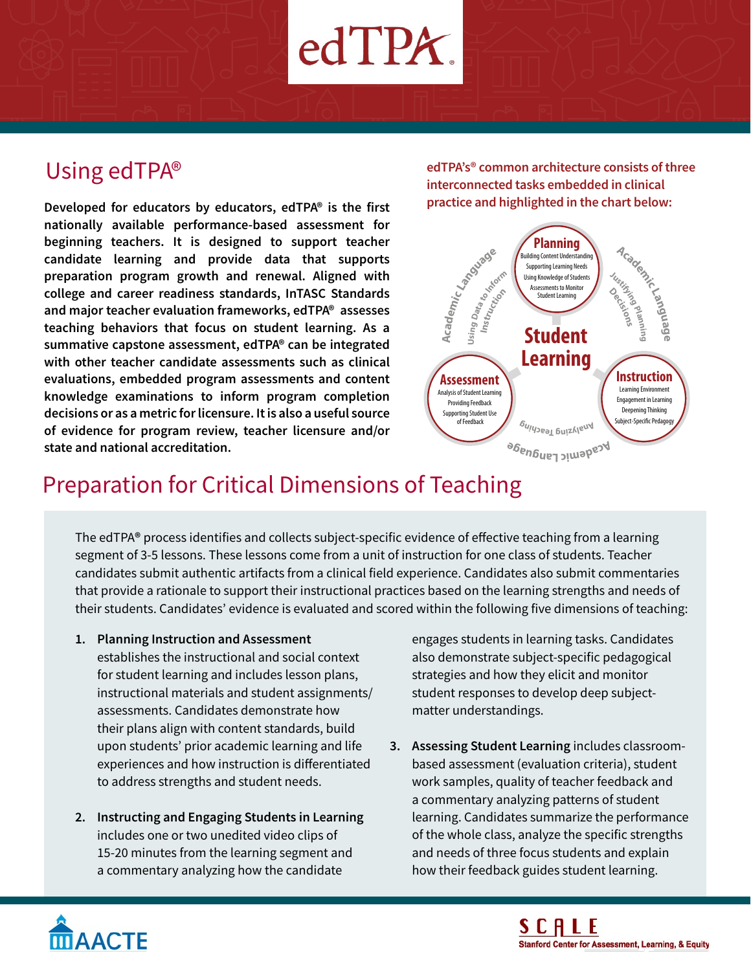## $edTPX$

## Using edTPA®

**Developed for educators by educators, edTPA® is the first nationally available performance-based assessment for beginning teachers. It is designed to support teacher candidate learning and provide data that supports preparation program growth and renewal. Aligned with college and career readiness standards, InTASC Standards and major teacher evaluation frameworks, edTPA® assesses teaching behaviors that focus on student learning. As a summative capstone assessment, edTPA® can be integrated with other teacher candidate assessments such as clinical evaluations, embedded program assessments and content knowledge examinations to inform program completion decisions or as a metric for licensure. It is also a useful source of evidence for program review, teacher licensure and/or state and national accreditation.**

**edTPA's® common architecture consists of three interconnected tasks embedded in clinical practice and highlighted in the chart below:**



## Preparation for Critical Dimensions of Teaching

The edTPA**®** process identifies and collects subject-specific evidence of effective teaching from a learning segment of 3-5 lessons. These lessons come from a unit of instruction for one class of students. Teacher candidates submit authentic artifacts from a clinical field experience. Candidates also submit commentaries that provide a rationale to support their instructional practices based on the learning strengths and needs of their students. Candidates' evidence is evaluated and scored within the following five dimensions of teaching:

**1. Planning Instruction and Assessment**

establishes the instructional and social context for student learning and includes lesson plans, instructional materials and student assignments/ assessments. Candidates demonstrate how their plans align with content standards, build upon students' prior academic learning and life experiences and how instruction is differentiated to address strengths and student needs.

**2. Instructing and Engaging Students in Learning**  includes one or two unedited video clips of 15-20 minutes from the learning segment and a commentary analyzing how the candidate

engages students in learning tasks. Candidates also demonstrate subject-specific pedagogical strategies and how they elicit and monitor student responses to develop deep subjectmatter understandings.

**3. Assessing Student Learning** includes classroombased assessment (evaluation criteria), student work samples, quality of teacher feedback and a commentary analyzing patterns of student learning. Candidates summarize the performance of the whole class, analyze the specific strengths and needs of three focus students and explain how their feedback guides student learning.